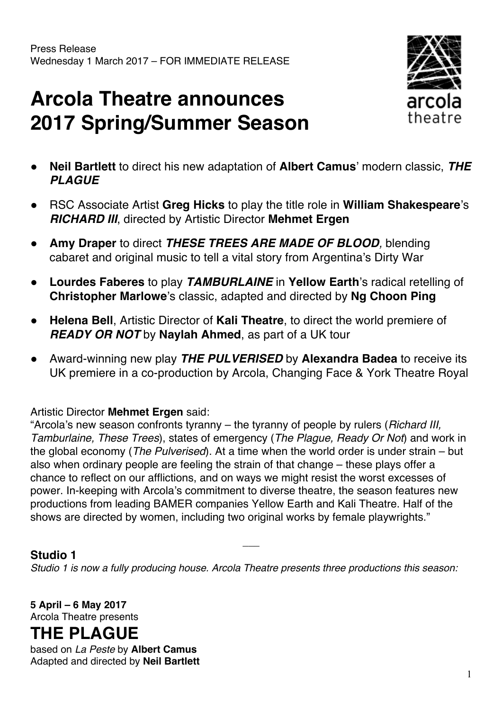# **Arcola Theatre announces 2017 Spring/Summer Season**



- **Neil Bartlett** to direct his new adaptation of **Albert Camus**' modern classic, *THE PLAGUE*
- RSC Associate Artist **Greg Hicks** to play the title role in **William Shakespeare**'s *RICHARD III*, directed by Artistic Director **Mehmet Ergen**
- **Amy Draper** to direct *THESE TREES ARE MADE OF BLOOD,* blending cabaret and original music to tell a vital story from Argentina's Dirty War
- **Lourdes Faberes** to play *TAMBURLAINE* in **Yellow Earth**'s radical retelling of **Christopher Marlowe**'s classic, adapted and directed by **Ng Choon Ping**
- **Helena Bell**, Artistic Director of **Kali Theatre**, to direct the world premiere of *READY OR NOT* by **Naylah Ahmed**, as part of a UK tour
- Award-winning new play *THE PULVERISED* by **Alexandra Badea** to receive its UK premiere in a co-production by Arcola, Changing Face & York Theatre Royal

Artistic Director **Mehmet Ergen** said:

"Arcola's new season confronts tyranny – the tyranny of people by rulers (*Richard III, Tamburlaine, These Trees*), states of emergency (*The Plague, Ready Or Not*) and work in the global economy (*The Pulverised*). At a time when the world order is under strain – but also when ordinary people are feeling the strain of that change – these plays offer a chance to reflect on our afflictions, and on ways we might resist the worst excesses of power. In-keeping with Arcola's commitment to diverse theatre, the season features new productions from leading BAMER companies Yellow Earth and Kali Theatre. Half of the shows are directed by women, including two original works by female playwrights."

#### **Studio 1**

*Studio 1 is now a fully producing house. Arcola Theatre presents three productions this season:*

 $\overline{\phantom{a}}$ 

**5 April – 6 May 2017** Arcola Theatre presents

### **THE PLAGUE**

based on *La Peste* by **Albert Camus** Adapted and directed by **Neil Bartlett**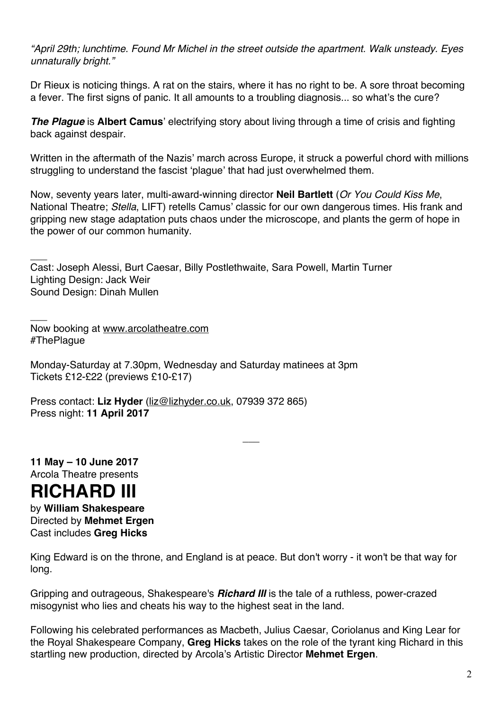*"April 29th; lunchtime. Found Mr Michel in the street outside the apartment. Walk unsteady. Eyes unnaturally bright."*

Dr Rieux is noticing things. A rat on the stairs, where it has no right to be. A sore throat becoming a fever. The first signs of panic. It all amounts to a troubling diagnosis... so what's the cure?

*The Plague* is **Albert Camus**' electrifying story about living through a time of crisis and fighting back against despair.

Written in the aftermath of the Nazis' march across Europe, it struck a powerful chord with millions struggling to understand the fascist 'plague' that had just overwhelmed them.

Now, seventy years later, multi-award-winning director **Neil Bartlett** (*Or You Could Kiss Me*, National Theatre; *Stella*, LIFT) retells Camus' classic for our own dangerous times. His frank and gripping new stage adaptation puts chaos under the microscope, and plants the germ of hope in the power of our common humanity.

 $\overline{\phantom{a}}$ Cast: Joseph Alessi, Burt Caesar, Billy Postlethwaite, Sara Powell, Martin Turner Lighting Design: Jack Weir Sound Design: Dinah Mullen

 $\overline{\phantom{a}}$ Now booking at www.arcolatheatre.com #ThePlague

Monday-Saturday at 7.30pm, Wednesday and Saturday matinees at 3pm Tickets £12-£22 (previews £10-£17)

Press contact: **Liz Hyder** (liz@lizhyder.co.uk, 07939 372 865) Press night: **11 April 2017**

**11 May – 10 June 2017** Arcola Theatre presents

## **RICHARD III**

by **William Shakespeare** Directed by **Mehmet Ergen** Cast includes **Greg Hicks**

King Edward is on the throne, and England is at peace. But don't worry - it won't be that way for long.

 $\overline{\phantom{a}}$ 

Gripping and outrageous, Shakespeare's *Richard III* is the tale of a ruthless, power-crazed misogynist who lies and cheats his way to the highest seat in the land.

Following his celebrated performances as Macbeth, Julius Caesar, Coriolanus and King Lear for the Royal Shakespeare Company, **Greg Hicks** takes on the role of the tyrant king Richard in this startling new production, directed by Arcola's Artistic Director **Mehmet Ergen**.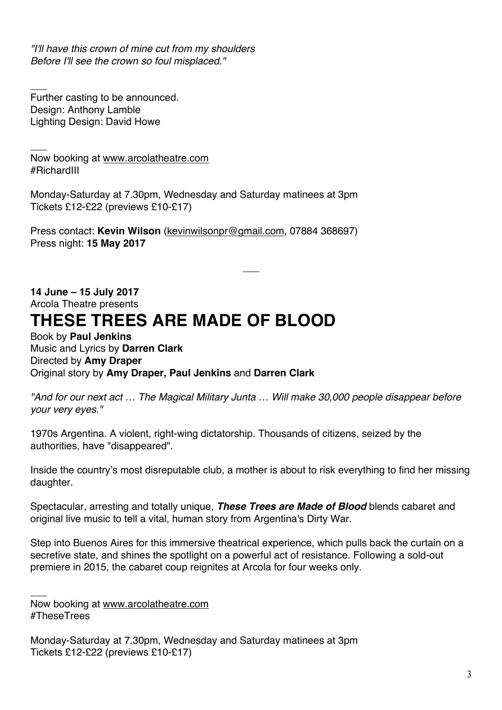*"I'll have this crown of mine cut from my shoulders Before I'll see the crown so foul misplaced."*

Further casting to be announced. Design: Anthony Lamble Lighting Design: David Howe

 $\overline{\phantom{a}}$ 

 $\overline{\phantom{a}}$ Now booking at www.arcolatheatre.com #RichardIII

Monday-Saturday at 7.30pm, Wednesday and Saturday matinees at 3pm Tickets £12-£22 (previews £10-£17)

Press contact: **Kevin Wilson** (kevinwilsonpr@gmail.com, 07884 368697) Press night: **15 May 2017**

**14 June – 15 July 2017** Arcola Theatre presents **THESE TREES ARE MADE OF BLOOD**

Book by **Paul Jenkins** Music and Lyrics by **Darren Clark** Directed by **Amy Draper** Original story by **Amy Draper, Paul Jenkins** and **Darren Clark**

*"And for our next act … The Magical Military Junta … Will make 30,000 people disappear before your very eyes."*

 $\overline{\phantom{a}}$ 

1970s Argentina. A violent, right-wing dictatorship. Thousands of citizens, seized by the authorities, have "disappeared".

Inside the country's most disreputable club, a mother is about to risk everything to find her missing daughter.

Spectacular, arresting and totally unique, *These Trees are Made of Blood* blends cabaret and original live music to tell a vital, human story from Argentina's Dirty War.

Step into Buenos Aires for this immersive theatrical experience, which pulls back the curtain on a secretive state, and shines the spotlight on a powerful act of resistance. Following a sold-out premiere in 2015, the cabaret coup reignites at Arcola for four weeks only.

 $\overline{\phantom{a}}$ Now booking at www.arcolatheatre.com #TheseTrees

Monday-Saturday at 7.30pm, Wednesday and Saturday matinees at 3pm Tickets £12-£22 (previews £10-£17)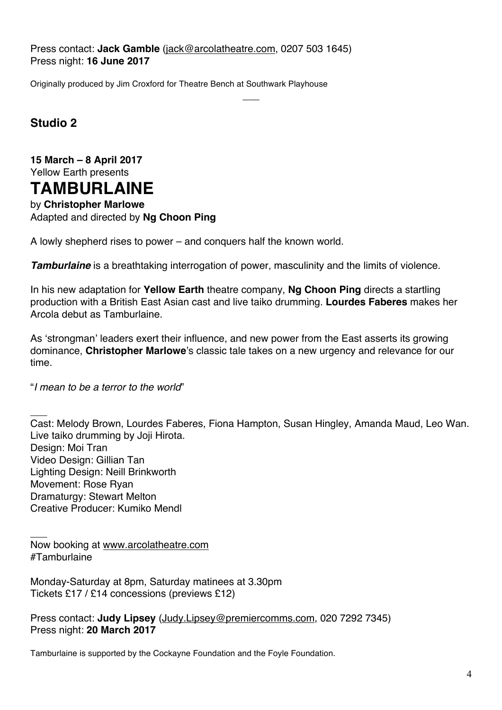Press contact: **Jack Gamble** (jack@arcolatheatre.com, 0207 503 1645) Press night: **16 June 2017**

Originally produced by Jim Croxford for Theatre Bench at Southwark Playhouse

**Studio 2**

**15 March – 8 April 2017** Yellow Earth presents **TAMBURLAINE**

by **Christopher Marlowe** Adapted and directed by **Ng Choon Ping**

A lowly shepherd rises to power – and conquers half the known world.

*Tamburlaine* is a breathtaking interrogation of power, masculinity and the limits of violence.

In his new adaptation for **Yellow Earth** theatre company, **Ng Choon Ping** directs a startling production with a British East Asian cast and live taiko drumming. **Lourdes Faberes** makes her Arcola debut as Tamburlaine.

 $\overline{\phantom{a}}$ 

As 'strongman' leaders exert their influence, and new power from the East asserts its growing dominance, **Christopher Marlowe**'s classic tale takes on a new urgency and relevance for our time.

"*I mean to be a terror to the world*"

 $\overline{\phantom{a}}$ Cast: Melody Brown, Lourdes Faberes, Fiona Hampton, Susan Hingley, Amanda Maud, Leo Wan. Live taiko drumming by Joji Hirota. Design: Moi Tran Video Design: Gillian Tan Lighting Design: Neill Brinkworth Movement: Rose Ryan Dramaturgy: Stewart Melton Creative Producer: Kumiko Mendl

 $\overline{\phantom{a}}$ Now booking at www.arcolatheatre.com #Tamburlaine

Monday-Saturday at 8pm, Saturday matinees at 3.30pm Tickets £17 / £14 concessions (previews £12)

Press contact: **Judy Lipsey** (Judy.Lipsey@premiercomms.com, 020 7292 7345) Press night: **20 March 2017**

Tamburlaine is supported by the Cockayne Foundation and the Foyle Foundation.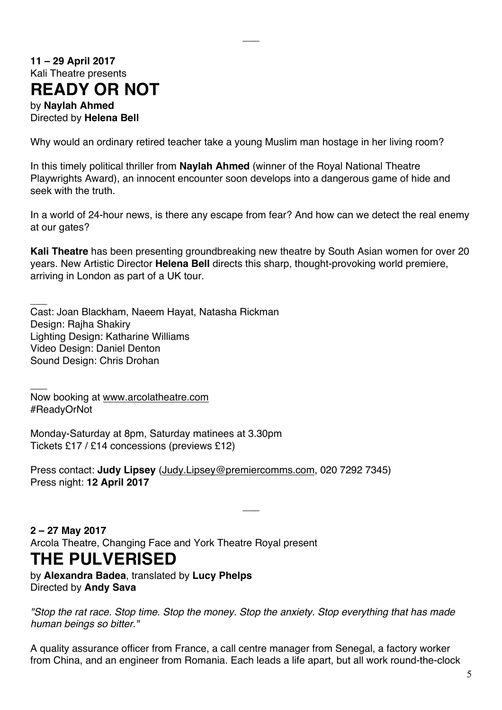### **11 – 29 April 2017** Kali Theatre presents

### **READY OR NOT**

by **Naylah Ahmed** Directed by **Helena Bell**

Why would an ordinary retired teacher take a young Muslim man hostage in her living room?

 $\overline{\phantom{a}}$ 

In this timely political thriller from **Naylah Ahmed** (winner of the Royal National Theatre Playwrights Award), an innocent encounter soon develops into a dangerous game of hide and seek with the truth.

In a world of 24-hour news, is there any escape from fear? And how can we detect the real enemy at our gates?

**Kali Theatre** has been presenting groundbreaking new theatre by South Asian women for over 20 years. New Artistic Director **Helena Bell** directs this sharp, thought-provoking world premiere, arriving in London as part of a UK tour.

 $\overline{\phantom{a}}$ Cast: Joan Blackham, Naeem Hayat, Natasha Rickman Design: Rajha Shakiry Lighting Design: Katharine Williams Video Design: Daniel Denton Sound Design: Chris Drohan

Now booking at www.arcolatheatre.com #ReadyOrNot

 $\overline{\phantom{a}}$ 

Monday-Saturday at 8pm, Saturday matinees at 3.30pm Tickets £17 / £14 concessions (previews £12)

Press contact: **Judy Lipsey** (Judy.Lipsey@premiercomms.com, 020 7292 7345) Press night: **12 April 2017**

**2 – 27 May 2017** Arcola Theatre, Changing Face and York Theatre Royal present

### **THE PULVERISED**

by **Alexandra Badea**, translated by **Lucy Phelps** Directed by **Andy Sava**

*"Stop the rat race. Stop time. Stop the money. Stop the anxiety. Stop everything that has made human beings so bitter."*

 $\overline{\phantom{a}}$ 

A quality assurance officer from France, a call centre manager from Senegal, a factory worker from China, and an engineer from Romania. Each leads a life apart, but all work round-the-clock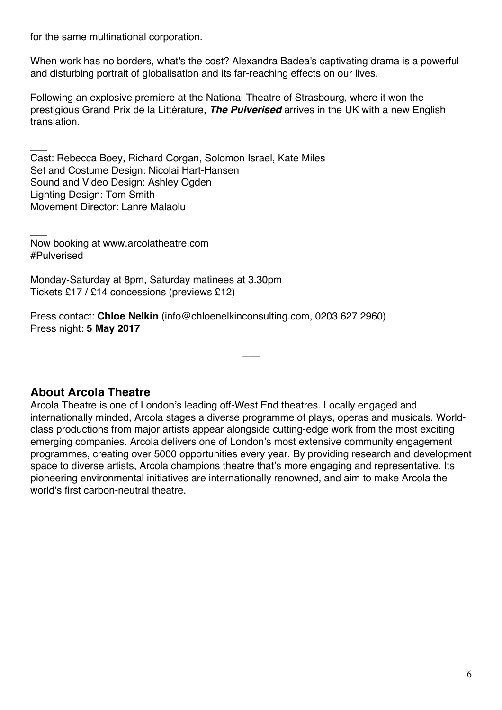for the same multinational corporation.

 $\overline{\phantom{a}}$ 

When work has no borders, what's the cost? Alexandra Badea's captivating drama is a powerful and disturbing portrait of globalisation and its far-reaching effects on our lives.

Following an explosive premiere at the National Theatre of Strasbourg, where it won the prestigious Grand Prix de la Littérature, *The Pulverised* arrives in the UK with a new English translation.

Cast: Rebecca Boey, Richard Corgan, Solomon Israel, Kate Miles Set and Costume Design: Nicolai Hart-Hansen Sound and Video Design: Ashley Ogden Lighting Design: Tom Smith Movement Director: Lanre Malaolu

 $\overline{\phantom{a}}$ Now booking at www.arcolatheatre.com #Pulverised

Monday-Saturday at 8pm, Saturday matinees at 3.30pm Tickets £17 / £14 concessions (previews £12)

Press contact: **Chloe Nelkin** (info@chloenelkinconsulting.com, 0203 627 2960) Press night: **5 May 2017**

#### **About Arcola Theatre**

Arcola Theatre is one of London's leading off-West End theatres. Locally engaged and internationally minded, Arcola stages a diverse programme of plays, operas and musicals. Worldclass productions from major artists appear alongside cutting-edge work from the most exciting emerging companies. Arcola delivers one of London's most extensive community engagement programmes, creating over 5000 opportunities every year. By providing research and development space to diverse artists, Arcola champions theatre that's more engaging and representative. Its pioneering environmental initiatives are internationally renowned, and aim to make Arcola the world's first carbon-neutral theatre.

 $\overline{\phantom{a}}$